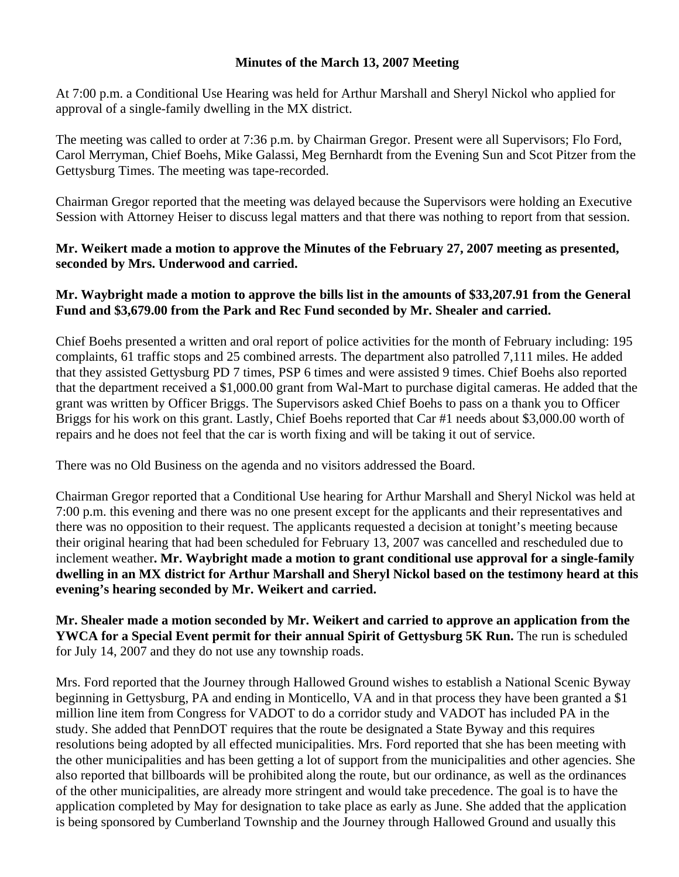#### **Minutes of the March 13, 2007 Meeting**

At 7:00 p.m. a Conditional Use Hearing was held for Arthur Marshall and Sheryl Nickol who applied for approval of a single-family dwelling in the MX district.

The meeting was called to order at 7:36 p.m. by Chairman Gregor. Present were all Supervisors; Flo Ford, Carol Merryman, Chief Boehs, Mike Galassi, Meg Bernhardt from the Evening Sun and Scot Pitzer from the Gettysburg Times. The meeting was tape-recorded.

Chairman Gregor reported that the meeting was delayed because the Supervisors were holding an Executive Session with Attorney Heiser to discuss legal matters and that there was nothing to report from that session.

## **Mr. Weikert made a motion to approve the Minutes of the February 27, 2007 meeting as presented, seconded by Mrs. Underwood and carried.**

# **Mr. Waybright made a motion to approve the bills list in the amounts of \$33,207.91 from the General Fund and \$3,679.00 from the Park and Rec Fund seconded by Mr. Shealer and carried.**

Chief Boehs presented a written and oral report of police activities for the month of February including: 195 complaints, 61 traffic stops and 25 combined arrests. The department also patrolled 7,111 miles. He added that they assisted Gettysburg PD 7 times, PSP 6 times and were assisted 9 times. Chief Boehs also reported that the department received a \$1,000.00 grant from Wal-Mart to purchase digital cameras. He added that the grant was written by Officer Briggs. The Supervisors asked Chief Boehs to pass on a thank you to Officer Briggs for his work on this grant. Lastly, Chief Boehs reported that Car #1 needs about \$3,000.00 worth of repairs and he does not feel that the car is worth fixing and will be taking it out of service.

There was no Old Business on the agenda and no visitors addressed the Board.

Chairman Gregor reported that a Conditional Use hearing for Arthur Marshall and Sheryl Nickol was held at 7:00 p.m. this evening and there was no one present except for the applicants and their representatives and there was no opposition to their request. The applicants requested a decision at tonight's meeting because their original hearing that had been scheduled for February 13, 2007 was cancelled and rescheduled due to inclement weather**. Mr. Waybright made a motion to grant conditional use approval for a single-family dwelling in an MX district for Arthur Marshall and Sheryl Nickol based on the testimony heard at this evening's hearing seconded by Mr. Weikert and carried.** 

**Mr. Shealer made a motion seconded by Mr. Weikert and carried to approve an application from the YWCA for a Special Event permit for their annual Spirit of Gettysburg 5K Run.** The run is scheduled for July 14, 2007 and they do not use any township roads.

Mrs. Ford reported that the Journey through Hallowed Ground wishes to establish a National Scenic Byway beginning in Gettysburg, PA and ending in Monticello, VA and in that process they have been granted a \$1 million line item from Congress for VADOT to do a corridor study and VADOT has included PA in the study. She added that PennDOT requires that the route be designated a State Byway and this requires resolutions being adopted by all effected municipalities. Mrs. Ford reported that she has been meeting with the other municipalities and has been getting a lot of support from the municipalities and other agencies. She also reported that billboards will be prohibited along the route, but our ordinance, as well as the ordinances of the other municipalities, are already more stringent and would take precedence. The goal is to have the application completed by May for designation to take place as early as June. She added that the application is being sponsored by Cumberland Township and the Journey through Hallowed Ground and usually this